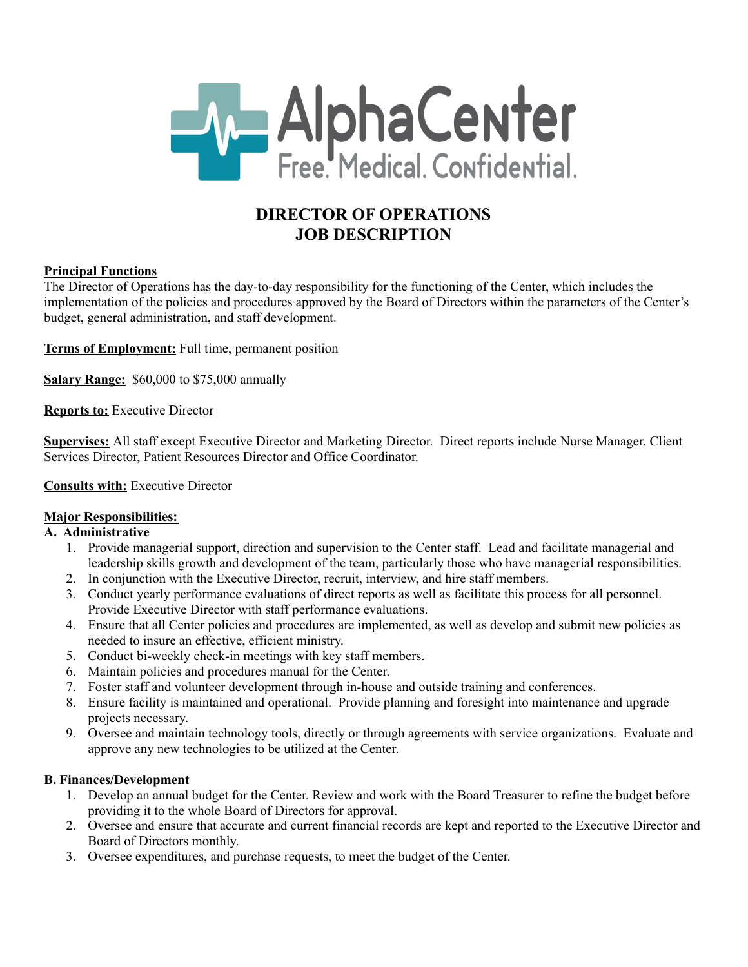

# **DIRECTOR OF OPERATIONS JOB DESCRIPTION**

## **Principal Functions**

The Director of Operations has the day-to-day responsibility for the functioning of the Center, which includes the implementation of the policies and procedures approved by the Board of Directors within the parameters of the Center's budget, general administration, and staff development.

**Terms of Employment:** Full time, permanent position

**Salary Range:** \$60,000 to \$75,000 annually

**Reports to:** Executive Director

**Supervises:** All staff except Executive Director and Marketing Director. Direct reports include Nurse Manager, Client Services Director, Patient Resources Director and Office Coordinator.

## **Consults with:** Executive Director

## **Major Responsibilities:**

## **A. Administrative**

- 1. Provide managerial support, direction and supervision to the Center staff. Lead and facilitate managerial and leadership skills growth and development of the team, particularly those who have managerial responsibilities.
- 2. In conjunction with the Executive Director, recruit, interview, and hire staff members.
- 3. Conduct yearly performance evaluations of direct reports as well as facilitate this process for all personnel. Provide Executive Director with staff performance evaluations.
- 4. Ensure that all Center policies and procedures are implemented, as well as develop and submit new policies as needed to insure an effective, efficient ministry.
- 5. Conduct bi-weekly check-in meetings with key staff members.
- 6. Maintain policies and procedures manual for the Center.
- 7. Foster staff and volunteer development through in-house and outside training and conferences.
- 8. Ensure facility is maintained and operational. Provide planning and foresight into maintenance and upgrade projects necessary.
- 9. Oversee and maintain technology tools, directly or through agreements with service organizations. Evaluate and approve any new technologies to be utilized at the Center.

## **B. Finances/Development**

- 1. Develop an annual budget for the Center. Review and work with the Board Treasurer to refine the budget before providing it to the whole Board of Directors for approval.
- 2. Oversee and ensure that accurate and current financial records are kept and reported to the Executive Director and Board of Directors monthly.
- 3. Oversee expenditures, and purchase requests, to meet the budget of the Center.